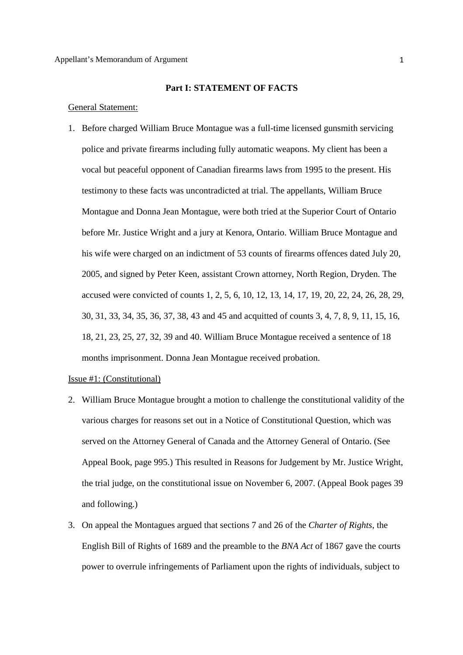### **Part I: STATEMENT OF FACTS**

#### General Statement:

1. Before charged William Bruce Montague was a full-time licensed gunsmith servicing police and private firearms including fully automatic weapons. My client has been a vocal but peaceful opponent of Canadian firearms laws from 1995 to the present. His testimony to these facts was uncontradicted at trial. The appellants, William Bruce Montague and Donna Jean Montague, were both tried at the Superior Court of Ontario before Mr. Justice Wright and a jury at Kenora, Ontario. William Bruce Montague and his wife were charged on an indictment of 53 counts of firearms offences dated July 20, 2005, and signed by Peter Keen, assistant Crown attorney, North Region, Dryden. The accused were convicted of counts 1, 2, 5, 6, 10, 12, 13, 14, 17, 19, 20, 22, 24, 26, 28, 29, 30, 31, 33, 34, 35, 36, 37, 38, 43 and 45 and acquitted of counts 3, 4, 7, 8, 9, 11, 15, 16, 18, 21, 23, 25, 27, 32, 39 and 40. William Bruce Montague received a sentence of 18 months imprisonment. Donna Jean Montague received probation.

## Issue #1: (Constitutional)

- 2. William Bruce Montague brought a motion to challenge the constitutional validity of the various charges for reasons set out in a Notice of Constitutional Question, which was served on the Attorney General of Canada and the Attorney General of Ontario. (See Appeal Book, page 995.) This resulted in Reasons for Judgement by Mr. Justice Wright, the trial judge, on the constitutional issue on November 6, 2007. (Appeal Book pages 39 and following.)
- 3. On appeal the Montagues argued that sections 7 and 26 of the *Charter of Rights*, the English Bill of Rights of 1689 and the preamble to the *BNA Act* of 1867 gave the courts power to overrule infringements of Parliament upon the rights of individuals, subject to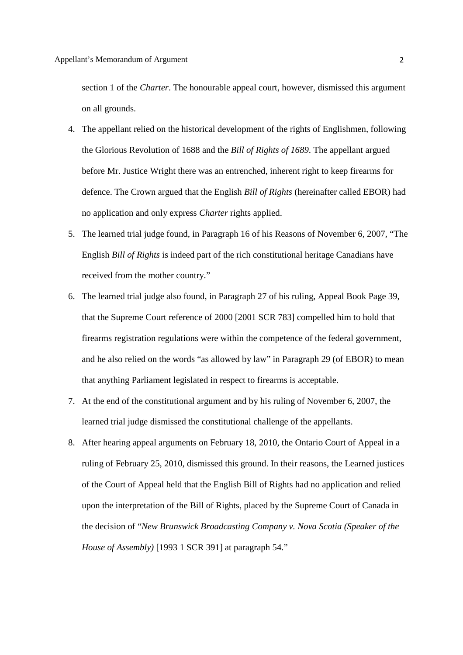section 1 of the *Charter*. The honourable appeal court, however, dismissed this argument on all grounds.

- 4. The appellant relied on the historical development of the rights of Englishmen, following the Glorious Revolution of 1688 and the *Bill of Rights of 1689*. The appellant argued before Mr. Justice Wright there was an entrenched, inherent right to keep firearms for defence. The Crown argued that the English *Bill of Rights* (hereinafter called EBOR) had no application and only express *Charter* rights applied.
- 5. The learned trial judge found, in Paragraph 16 of his Reasons of November 6, 2007, "The English *Bill of Rights* is indeed part of the rich constitutional heritage Canadians have received from the mother country."
- 6. The learned trial judge also found, in Paragraph 27 of his ruling, Appeal Book Page 39, that the Supreme Court reference of 2000 [2001 SCR 783] compelled him to hold that firearms registration regulations were within the competence of the federal government, and he also relied on the words "as allowed by law" in Paragraph 29 (of EBOR) to mean that anything Parliament legislated in respect to firearms is acceptable.
- 7. At the end of the constitutional argument and by his ruling of November 6, 2007, the learned trial judge dismissed the constitutional challenge of the appellants.
- 8. After hearing appeal arguments on February 18, 2010, the Ontario Court of Appeal in a ruling of February 25, 2010, dismissed this ground. In their reasons, the Learned justices of the Court of Appeal held that the English Bill of Rights had no application and relied upon the interpretation of the Bill of Rights, placed by the Supreme Court of Canada in the decision of "*New Brunswick Broadcasting Company v. Nova Scotia (Speaker of the House of Assembly)* [1993 1 SCR 391] at paragraph 54."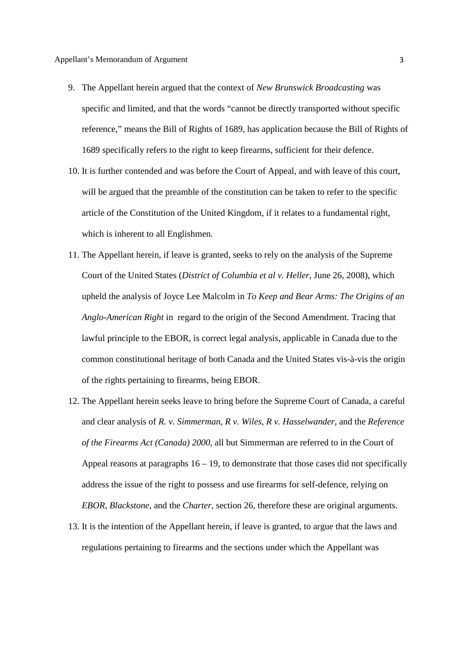- 9. The Appellant herein argued that the context of *New Brunswick Broadcasting* was specific and limited, and that the words "cannot be directly transported without specific reference," means the Bill of Rights of 1689, has application because the Bill of Rights of 1689 specifically refers to the right to keep firearms, sufficient for their defence.
- 10. It is further contended and was before the Court of Appeal, and with leave of this court, will be argued that the preamble of the constitution can be taken to refer to the specific article of the Constitution of the United Kingdom, if it relates to a fundamental right, which is inherent to all Englishmen.
- 11. The Appellant herein, if leave is granted, seeks to rely on the analysis of the Supreme Court of the United States (*District of Columbia et al v. Heller*, June 26, 2008), which upheld the analysis of Joyce Lee Malcolm in *To Keep and Bear Arms: The Origins of an Anglo-American Right* in regard to the origin of the Second Amendment. Tracing that lawful principle to the EBOR, is correct legal analysis, applicable in Canada due to the common constitutional heritage of both Canada and the United States vis-à-vis the origin of the rights pertaining to firearms, being EBOR.
- 12. The Appellant herein seeks leave to bring before the Supreme Court of Canada, a careful and clear analysis of *R. v. Simmerman, R v. Wiles*, *R v. Hasselwander*, and the *Reference of the Firearms Act (Canada) 2000*, all but Simmerman are referred to in the Court of Appeal reasons at paragraphs  $16 - 19$ , to demonstrate that those cases did not specifically address the issue of the right to possess and use firearms for self-defence, relying on *EBOR*, *Blackstone*, and the *Charter*, section 26, therefore these are original arguments.
- 13. It is the intention of the Appellant herein, if leave is granted, to argue that the laws and regulations pertaining to firearms and the sections under which the Appellant was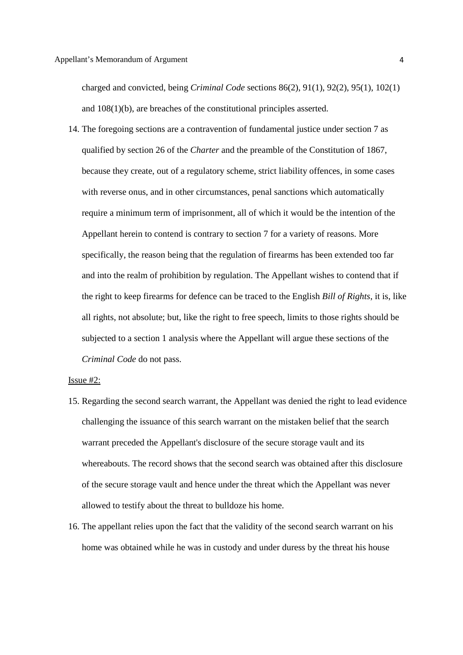charged and convicted, being *Criminal Code* sections 86(2), 91(1), 92(2), 95(1), 102(1) and 108(1)(b), are breaches of the constitutional principles asserted.

14. The foregoing sections are a contravention of fundamental justice under section 7 as qualified by section 26 of the *Charter* and the preamble of the Constitution of 1867, because they create, out of a regulatory scheme, strict liability offences, in some cases with reverse onus, and in other circumstances, penal sanctions which automatically require a minimum term of imprisonment, all of which it would be the intention of the Appellant herein to contend is contrary to section 7 for a variety of reasons. More specifically, the reason being that the regulation of firearms has been extended too far and into the realm of prohibition by regulation. The Appellant wishes to contend that if the right to keep firearms for defence can be traced to the English *Bill of Rights*, it is, like all rights, not absolute; but, like the right to free speech, limits to those rights should be subjected to a section 1 analysis where the Appellant will argue these sections of the *Criminal Code* do not pass.

### Issue #2:

- 15. Regarding the second search warrant, the Appellant was denied the right to lead evidence challenging the issuance of this search warrant on the mistaken belief that the search warrant preceded the Appellant's disclosure of the secure storage vault and its whereabouts. The record shows that the second search was obtained after this disclosure of the secure storage vault and hence under the threat which the Appellant was never allowed to testify about the threat to bulldoze his home.
- 16. The appellant relies upon the fact that the validity of the second search warrant on his home was obtained while he was in custody and under duress by the threat his house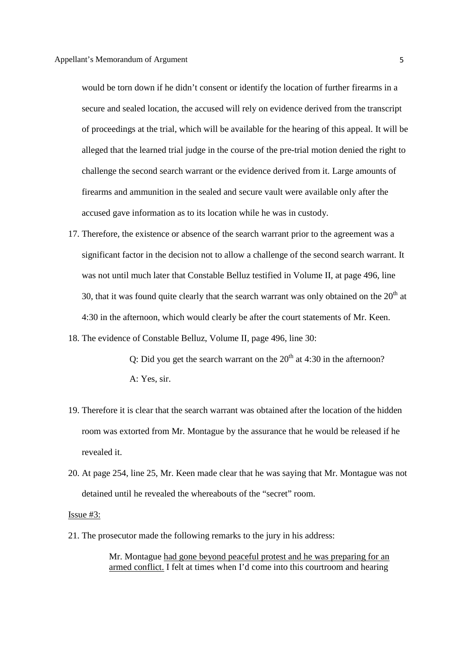would be torn down if he didn't consent or identify the location of further firearms in a secure and sealed location, the accused will rely on evidence derived from the transcript of proceedings at the trial, which will be available for the hearing of this appeal. It will be alleged that the learned trial judge in the course of the pre-trial motion denied the right to challenge the second search warrant or the evidence derived from it. Large amounts of firearms and ammunition in the sealed and secure vault were available only after the accused gave information as to its location while he was in custody.

- 17. Therefore, the existence or absence of the search warrant prior to the agreement was a significant factor in the decision not to allow a challenge of the second search warrant. It was not until much later that Constable Belluz testified in Volume II, at page 496, line 30, that it was found quite clearly that the search warrant was only obtained on the  $20<sup>th</sup>$  at 4:30 in the afternoon, which would clearly be after the court statements of Mr. Keen.
- 18. The evidence of Constable Belluz, Volume II, page 496, line 30:

Q: Did you get the search warrant on the  $20<sup>th</sup>$  at 4:30 in the afternoon? A: Yes, sir.

- 19. Therefore it is clear that the search warrant was obtained after the location of the hidden room was extorted from Mr. Montague by the assurance that he would be released if he revealed it.
- 20. At page 254, line 25, Mr. Keen made clear that he was saying that Mr. Montague was not detained until he revealed the whereabouts of the "secret" room.

## Issue #3:

21. The prosecutor made the following remarks to the jury in his address:

Mr. Montague had gone beyond peaceful protest and he was preparing for an armed conflict. I felt at times when I'd come into this courtroom and hearing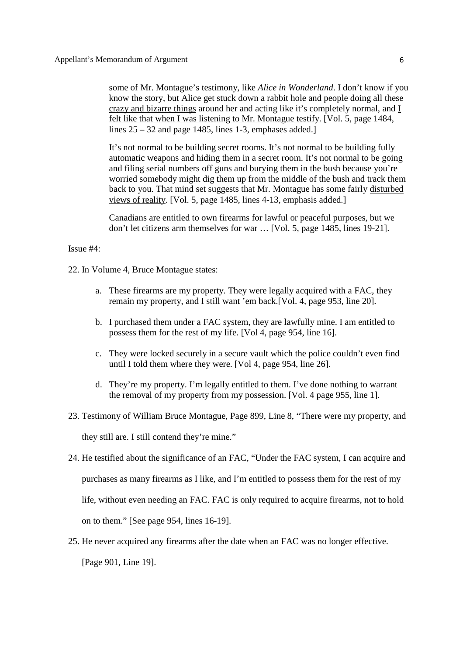some of Mr. Montague's testimony, like *Alice in Wonderland*. I don't know if you know the story, but Alice get stuck down a rabbit hole and people doing all these crazy and bizarre things around her and acting like it's completely normal, and I felt like that when I was listening to Mr. Montague testify. [Vol. 5, page 1484, lines  $25 - 32$  and page 1485, lines 1-3, emphases added.]

It's not normal to be building secret rooms. It's not normal to be building fully automatic weapons and hiding them in a secret room. It's not normal to be going and filing serial numbers off guns and burying them in the bush because you're worried somebody might dig them up from the middle of the bush and track them back to you. That mind set suggests that Mr. Montague has some fairly disturbed views of reality. [Vol. 5, page 1485, lines 4-13, emphasis added.]

Canadians are entitled to own firearms for lawful or peaceful purposes, but we don't let citizens arm themselves for war … [Vol. 5, page 1485, lines 19-21].

### Issue #4:

22. In Volume 4, Bruce Montague states:

- a. These firearms are my property. They were legally acquired with a FAC, they remain my property, and I still want 'em back.[Vol. 4, page 953, line 20].
- b. I purchased them under a FAC system, they are lawfully mine. I am entitled to possess them for the rest of my life. [Vol 4, page 954, line 16].
- c. They were locked securely in a secure vault which the police couldn't even find until I told them where they were. [Vol 4, page 954, line 26].
- d. They're my property. I'm legally entitled to them. I've done nothing to warrant the removal of my property from my possession. [Vol. 4 page 955, line 1].
- 23. Testimony of William Bruce Montague, Page 899, Line 8, "There were my property, and they still are. I still contend they're mine."

24. He testified about the significance of an FAC, "Under the FAC system, I can acquire and purchases as many firearms as I like, and I'm entitled to possess them for the rest of my life, without even needing an FAC. FAC is only required to acquire firearms, not to hold on to them." [See page 954, lines 16-19].

25. He never acquired any firearms after the date when an FAC was no longer effective.

[Page 901, Line 19].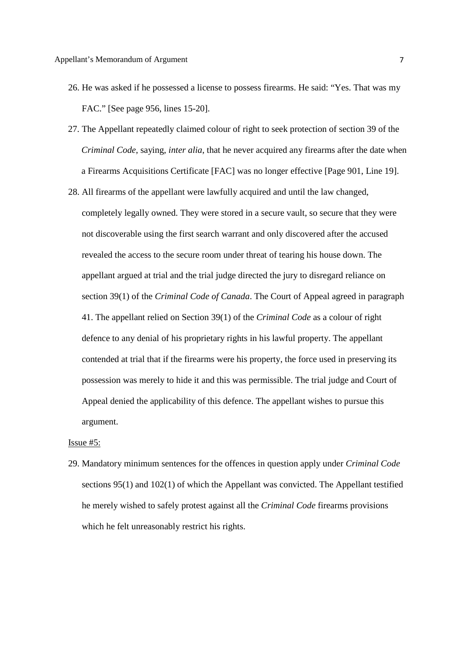- 26. He was asked if he possessed a license to possess firearms. He said: "Yes. That was my FAC." [See page 956, lines 15-20].
- 27. The Appellant repeatedly claimed colour of right to seek protection of section 39 of the *Criminal Code*, saying, *inter alia*, that he never acquired any firearms after the date when a Firearms Acquisitions Certificate [FAC] was no longer effective [Page 901, Line 19].
- 28. All firearms of the appellant were lawfully acquired and until the law changed, completely legally owned. They were stored in a secure vault, so secure that they were not discoverable using the first search warrant and only discovered after the accused revealed the access to the secure room under threat of tearing his house down. The appellant argued at trial and the trial judge directed the jury to disregard reliance on section 39(1) of the *Criminal Code of Canada*. The Court of Appeal agreed in paragraph 41. The appellant relied on Section 39(1) of the *Criminal Code* as a colour of right defence to any denial of his proprietary rights in his lawful property. The appellant contended at trial that if the firearms were his property, the force used in preserving its possession was merely to hide it and this was permissible. The trial judge and Court of Appeal denied the applicability of this defence. The appellant wishes to pursue this argument.

Issue #5:

29. Mandatory minimum sentences for the offences in question apply under *Criminal Code* sections 95(1) and 102(1) of which the Appellant was convicted. The Appellant testified he merely wished to safely protest against all the *Criminal Code* firearms provisions which he felt unreasonably restrict his rights.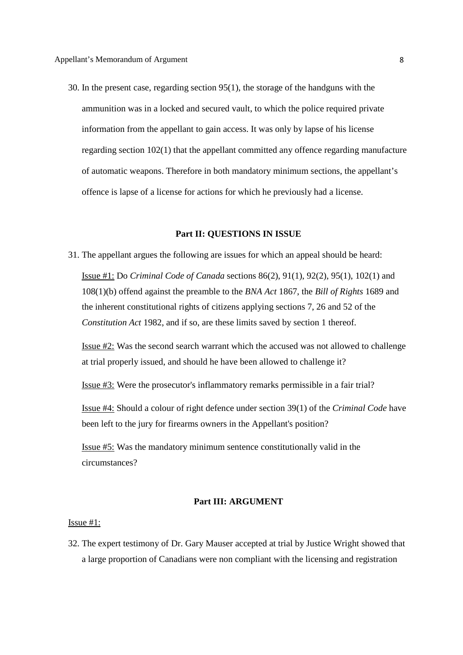30. In the present case, regarding section 95(1), the storage of the handguns with the ammunition was in a locked and secured vault, to which the police required private information from the appellant to gain access. It was only by lapse of his license regarding section 102(1) that the appellant committed any offence regarding manufacture of automatic weapons. Therefore in both mandatory minimum sections, the appellant's offence is lapse of a license for actions for which he previously had a license.

## **Part II: QUESTIONS IN ISSUE**

31. The appellant argues the following are issues for which an appeal should be heard: Issue #1: Do *Criminal Code of Canada* sections 86(2), 91(1), 92(2), 95(1), 102(1) and 108(1)(b) offend against the preamble to the *BNA Act* 1867, the *Bill of Rights* 1689 and the inherent constitutional rights of citizens applying sections 7, 26 and 52 of the *Constitution Act* 1982, and if so, are these limits saved by section 1 thereof.

Issue #2: Was the second search warrant which the accused was not allowed to challenge at trial properly issued, and should he have been allowed to challenge it?

Issue #3: Were the prosecutor's inflammatory remarks permissible in a fair trial?

Issue #4: Should a colour of right defence under section 39(1) of the *Criminal Code* have been left to the jury for firearms owners in the Appellant's position?

Issue #5: Was the mandatory minimum sentence constitutionally valid in the circumstances?

# **Part III: ARGUMENT**

### Issue #1:

32. The expert testimony of Dr. Gary Mauser accepted at trial by Justice Wright showed that a large proportion of Canadians were non compliant with the licensing and registration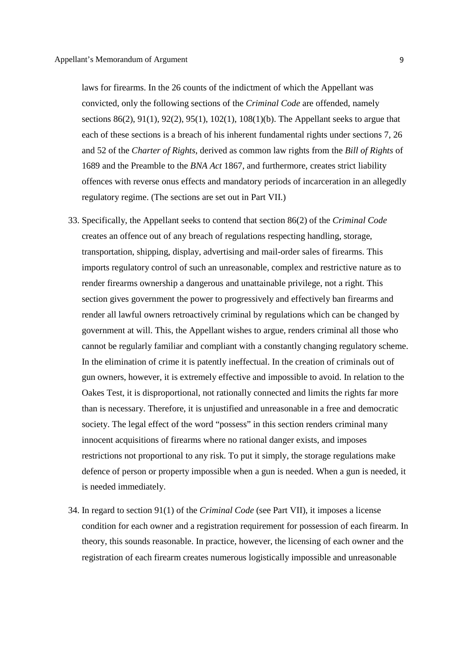laws for firearms. In the 26 counts of the indictment of which the Appellant was convicted, only the following sections of the *Criminal Code* are offended, namely sections 86(2), 91(1), 92(2), 95(1), 102(1), 108(1)(b). The Appellant seeks to argue that each of these sections is a breach of his inherent fundamental rights under sections 7, 26 and 52 of the *Charter of Rights*, derived as common law rights from the *Bill of Rights* of 1689 and the Preamble to the *BNA Act* 1867, and furthermore, creates strict liability offences with reverse onus effects and mandatory periods of incarceration in an allegedly regulatory regime. (The sections are set out in Part VII.)

- 33. Specifically, the Appellant seeks to contend that section 86(2) of the *Criminal Code* creates an offence out of any breach of regulations respecting handling, storage, transportation, shipping, display, advertising and mail-order sales of firearms. This imports regulatory control of such an unreasonable, complex and restrictive nature as to render firearms ownership a dangerous and unattainable privilege, not a right. This section gives government the power to progressively and effectively ban firearms and render all lawful owners retroactively criminal by regulations which can be changed by government at will. This, the Appellant wishes to argue, renders criminal all those who cannot be regularly familiar and compliant with a constantly changing regulatory scheme. In the elimination of crime it is patently ineffectual. In the creation of criminals out of gun owners, however, it is extremely effective and impossible to avoid. In relation to the Oakes Test, it is disproportional, not rationally connected and limits the rights far more than is necessary. Therefore, it is unjustified and unreasonable in a free and democratic society. The legal effect of the word "possess" in this section renders criminal many innocent acquisitions of firearms where no rational danger exists, and imposes restrictions not proportional to any risk. To put it simply, the storage regulations make defence of person or property impossible when a gun is needed. When a gun is needed, it is needed immediately.
- 34. In regard to section 91(1) of the *Criminal Code* (see Part VII), it imposes a license condition for each owner and a registration requirement for possession of each firearm. In theory, this sounds reasonable. In practice, however, the licensing of each owner and the registration of each firearm creates numerous logistically impossible and unreasonable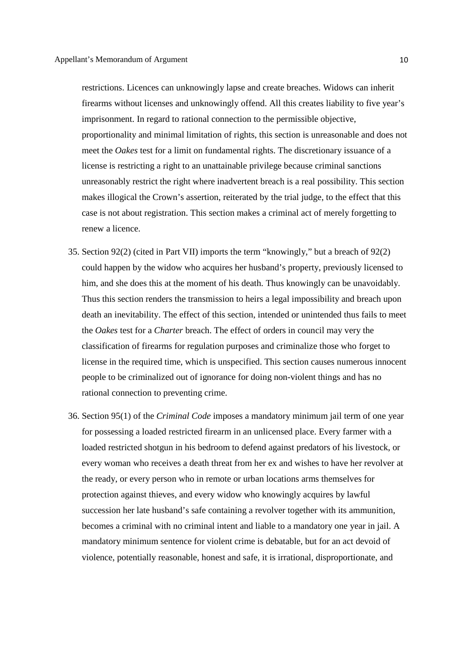restrictions. Licences can unknowingly lapse and create breaches. Widows can inherit firearms without licenses and unknowingly offend. All this creates liability to five year's imprisonment. In regard to rational connection to the permissible objective, proportionality and minimal limitation of rights, this section is unreasonable and does not meet the *Oakes* test for a limit on fundamental rights. The discretionary issuance of a license is restricting a right to an unattainable privilege because criminal sanctions unreasonably restrict the right where inadvertent breach is a real possibility. This section makes illogical the Crown's assertion, reiterated by the trial judge, to the effect that this case is not about registration. This section makes a criminal act of merely forgetting to renew a licence.

- 35. Section 92(2) (cited in Part VII) imports the term "knowingly," but a breach of 92(2) could happen by the widow who acquires her husband's property, previously licensed to him, and she does this at the moment of his death. Thus knowingly can be unavoidably. Thus this section renders the transmission to heirs a legal impossibility and breach upon death an inevitability. The effect of this section, intended or unintended thus fails to meet the *Oakes* test for a *Charter* breach. The effect of orders in council may very the classification of firearms for regulation purposes and criminalize those who forget to license in the required time, which is unspecified. This section causes numerous innocent people to be criminalized out of ignorance for doing non-violent things and has no rational connection to preventing crime.
- 36. Section 95(1) of the *Criminal Code* imposes a mandatory minimum jail term of one year for possessing a loaded restricted firearm in an unlicensed place. Every farmer with a loaded restricted shotgun in his bedroom to defend against predators of his livestock, or every woman who receives a death threat from her ex and wishes to have her revolver at the ready, or every person who in remote or urban locations arms themselves for protection against thieves, and every widow who knowingly acquires by lawful succession her late husband's safe containing a revolver together with its ammunition, becomes a criminal with no criminal intent and liable to a mandatory one year in jail. A mandatory minimum sentence for violent crime is debatable, but for an act devoid of violence, potentially reasonable, honest and safe, it is irrational, disproportionate, and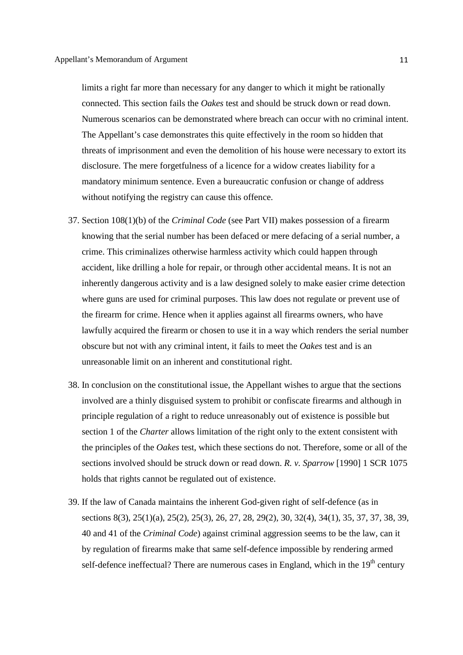limits a right far more than necessary for any danger to which it might be rationally connected. This section fails the *Oakes* test and should be struck down or read down. Numerous scenarios can be demonstrated where breach can occur with no criminal intent. The Appellant's case demonstrates this quite effectively in the room so hidden that threats of imprisonment and even the demolition of his house were necessary to extort its disclosure. The mere forgetfulness of a licence for a widow creates liability for a mandatory minimum sentence. Even a bureaucratic confusion or change of address without notifying the registry can cause this offence.

- 37. Section 108(1)(b) of the *Criminal Code* (see Part VII) makes possession of a firearm knowing that the serial number has been defaced or mere defacing of a serial number, a crime. This criminalizes otherwise harmless activity which could happen through accident, like drilling a hole for repair, or through other accidental means. It is not an inherently dangerous activity and is a law designed solely to make easier crime detection where guns are used for criminal purposes. This law does not regulate or prevent use of the firearm for crime. Hence when it applies against all firearms owners, who have lawfully acquired the firearm or chosen to use it in a way which renders the serial number obscure but not with any criminal intent, it fails to meet the *Oakes* test and is an unreasonable limit on an inherent and constitutional right.
- 38. In conclusion on the constitutional issue, the Appellant wishes to argue that the sections involved are a thinly disguised system to prohibit or confiscate firearms and although in principle regulation of a right to reduce unreasonably out of existence is possible but section 1 of the *Charter* allows limitation of the right only to the extent consistent with the principles of the *Oakes* test, which these sections do not. Therefore, some or all of the sections involved should be struck down or read down. *R. v. Sparrow* [1990] 1 SCR 1075 holds that rights cannot be regulated out of existence.
- 39. If the law of Canada maintains the inherent God-given right of self-defence (as in sections 8(3), 25(1)(a), 25(2), 25(3), 26, 27, 28, 29(2), 30, 32(4), 34(1), 35, 37, 37, 38, 39, 40 and 41 of the *Criminal Code*) against criminal aggression seems to be the law, can it by regulation of firearms make that same self-defence impossible by rendering armed self-defence ineffectual? There are numerous cases in England, which in the  $19<sup>th</sup>$  century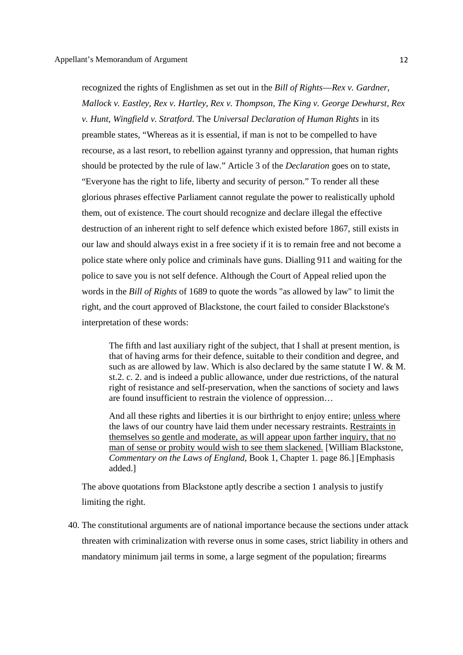recognized the rights of Englishmen as set out in the *Bill of Rights*—*Rex v. Gardner*, *Mallock v. Eastley, Rex v. Hartley*, *Rex v. Thompson, The King v. George Dewhurst, Rex v. Hunt, Wingfield v. Stratford*. The *Universal Declaration of Human Rights* in its preamble states, "Whereas as it is essential, if man is not to be compelled to have recourse, as a last resort, to rebellion against tyranny and oppression, that human rights should be protected by the rule of law." Article 3 of the *Declaration* goes on to state, "Everyone has the right to life, liberty and security of person." To render all these glorious phrases effective Parliament cannot regulate the power to realistically uphold them, out of existence. The court should recognize and declare illegal the effective destruction of an inherent right to self defence which existed before 1867, still exists in our law and should always exist in a free society if it is to remain free and not become a police state where only police and criminals have guns. Dialling 911 and waiting for the police to save you is not self defence. Although the Court of Appeal relied upon the words in the *Bill of Rights* of 1689 to quote the words "as allowed by law" to limit the right, and the court approved of Blackstone, the court failed to consider Blackstone's interpretation of these words:

The fifth and last auxiliary right of the subject, that I shall at present mention, is that of having arms for their defence, suitable to their condition and degree, and such as are allowed by law. Which is also declared by the same statute I W. & M. st.2. c. 2. and is indeed a public allowance, under due restrictions, of the natural right of resistance and self-preservation, when the sanctions of society and laws are found insufficient to restrain the violence of oppression…

And all these rights and liberties it is our birthright to enjoy entire; unless where the laws of our country have laid them under necessary restraints. Restraints in themselves so gentle and moderate, as will appear upon farther inquiry, that no man of sense or probity would wish to see them slackened. [William Blackstone, *Commentary on the Laws of England*, Book 1, Chapter 1. page 86.] [Emphasis added.]

The above quotations from Blackstone aptly describe a section 1 analysis to justify limiting the right.

40. The constitutional arguments are of national importance because the sections under attack threaten with criminalization with reverse onus in some cases, strict liability in others and mandatory minimum jail terms in some, a large segment of the population; firearms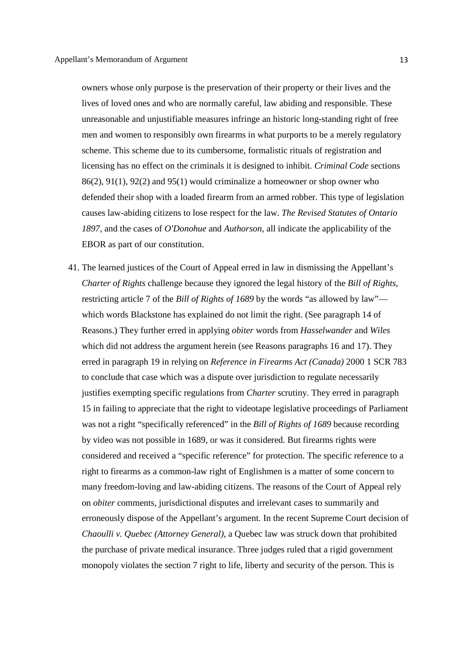owners whose only purpose is the preservation of their property or their lives and the lives of loved ones and who are normally careful, law abiding and responsible. These unreasonable and unjustifiable measures infringe an historic long-standing right of free men and women to responsibly own firearms in what purports to be a merely regulatory scheme. This scheme due to its cumbersome, formalistic rituals of registration and licensing has no effect on the criminals it is designed to inhibit. *Criminal Code* sections 86(2), 91(1), 92(2) and 95(1) would criminalize a homeowner or shop owner who defended their shop with a loaded firearm from an armed robber. This type of legislation causes law-abiding citizens to lose respect for the law. *The Revised Statutes of Ontario 1897*, and the cases of *O'Donohue* and *Authorson*, all indicate the applicability of the EBOR as part of our constitution.

41. The learned justices of the Court of Appeal erred in law in dismissing the Appellant's *Charter of Rights* challenge because they ignored the legal history of the *Bill of Rights*, restricting article 7 of the *Bill of Rights of 1689* by the words "as allowed by law" which words Blackstone has explained do not limit the right. (See paragraph 14 of Reasons.) They further erred in applying *obiter* words from *Hasselwander* and *Wiles* which did not address the argument herein (see Reasons paragraphs 16 and 17). They erred in paragraph 19 in relying on *Reference in Firearms Act (Canada)* 2000 1 SCR 783 to conclude that case which was a dispute over jurisdiction to regulate necessarily justifies exempting specific regulations from *Charter* scrutiny. They erred in paragraph 15 in failing to appreciate that the right to videotape legislative proceedings of Parliament was not a right "specifically referenced" in the *Bill of Rights of 1689* because recording by video was not possible in 1689, or was it considered. But firearms rights were considered and received a "specific reference" for protection. The specific reference to a right to firearms as a common-law right of Englishmen is a matter of some concern to many freedom-loving and law-abiding citizens. The reasons of the Court of Appeal rely on *obiter* comments, jurisdictional disputes and irrelevant cases to summarily and erroneously dispose of the Appellant's argument. In the recent Supreme Court decision of *Chaoulli v. Quebec (Attorney General)*, a Quebec law was struck down that prohibited the purchase of private medical insurance. Three judges ruled that a rigid government monopoly violates the section 7 right to life, liberty and security of the person. This is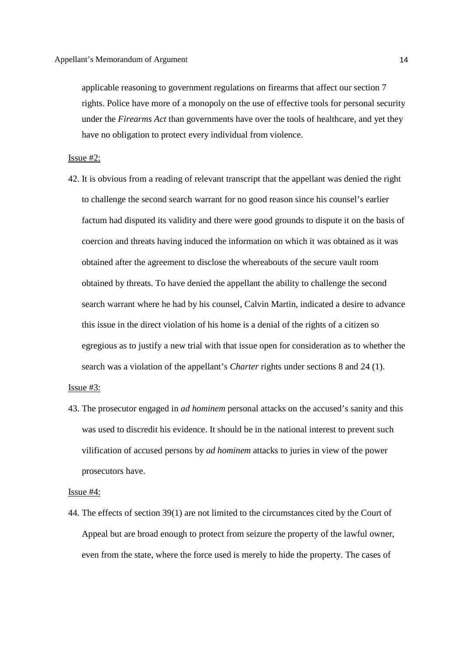applicable reasoning to government regulations on firearms that affect our section 7 rights. Police have more of a monopoly on the use of effective tools for personal security under the *Firearms Act* than governments have over the tools of healthcare, and yet they have no obligation to protect every individual from violence.

Issue #2:

42. It is obvious from a reading of relevant transcript that the appellant was denied the right to challenge the second search warrant for no good reason since his counsel's earlier factum had disputed its validity and there were good grounds to dispute it on the basis of coercion and threats having induced the information on which it was obtained as it was obtained after the agreement to disclose the whereabouts of the secure vault room obtained by threats. To have denied the appellant the ability to challenge the second search warrant where he had by his counsel, Calvin Martin, indicated a desire to advance this issue in the direct violation of his home is a denial of the rights of a citizen so egregious as to justify a new trial with that issue open for consideration as to whether the search was a violation of the appellant's *Charter* rights under sections 8 and 24 (1).

Issue #3:

43. The prosecutor engaged in *ad hominem* personal attacks on the accused's sanity and this was used to discredit his evidence. It should be in the national interest to prevent such vilification of accused persons by *ad hominem* attacks to juries in view of the power prosecutors have.

# Issue #4:

44. The effects of section 39(1) are not limited to the circumstances cited by the Court of Appeal but are broad enough to protect from seizure the property of the lawful owner, even from the state, where the force used is merely to hide the property. The cases of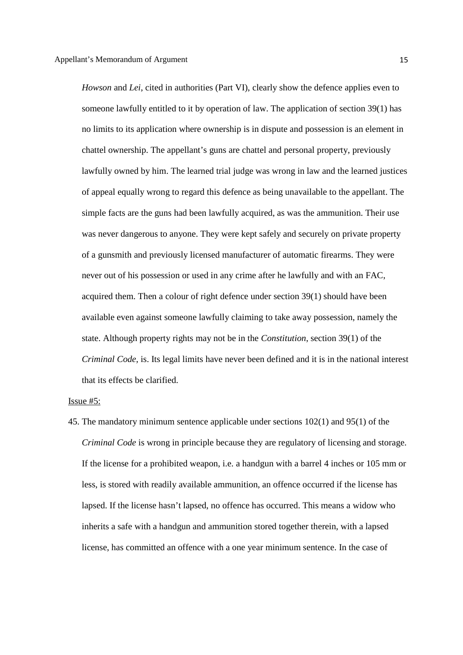*Howson* and *Lei*, cited in authorities (Part VI), clearly show the defence applies even to someone lawfully entitled to it by operation of law. The application of section 39(1) has no limits to its application where ownership is in dispute and possession is an element in chattel ownership. The appellant's guns are chattel and personal property, previously lawfully owned by him. The learned trial judge was wrong in law and the learned justices of appeal equally wrong to regard this defence as being unavailable to the appellant. The simple facts are the guns had been lawfully acquired, as was the ammunition. Their use was never dangerous to anyone. They were kept safely and securely on private property of a gunsmith and previously licensed manufacturer of automatic firearms. They were never out of his possession or used in any crime after he lawfully and with an FAC, acquired them. Then a colour of right defence under section 39(1) should have been available even against someone lawfully claiming to take away possession, namely the state. Although property rights may not be in the *Constitution*, section 39(1) of the *Criminal Code*, is. Its legal limits have never been defined and it is in the national interest that its effects be clarified.

# Issue #5:

45. The mandatory minimum sentence applicable under sections 102(1) and 95(1) of the *Criminal Code* is wrong in principle because they are regulatory of licensing and storage. If the license for a prohibited weapon, i.e. a handgun with a barrel 4 inches or 105 mm or less, is stored with readily available ammunition, an offence occurred if the license has lapsed. If the license hasn't lapsed, no offence has occurred. This means a widow who inherits a safe with a handgun and ammunition stored together therein, with a lapsed license, has committed an offence with a one year minimum sentence. In the case of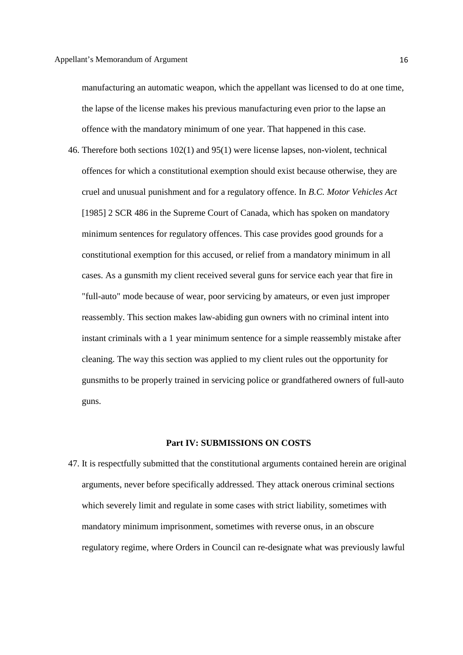manufacturing an automatic weapon, which the appellant was licensed to do at one time, the lapse of the license makes his previous manufacturing even prior to the lapse an offence with the mandatory minimum of one year. That happened in this case.

46. Therefore both sections 102(1) and 95(1) were license lapses, non-violent, technical offences for which a constitutional exemption should exist because otherwise, they are cruel and unusual punishment and for a regulatory offence. In *B.C. Motor Vehicles Act*  [1985] 2 SCR 486 in the Supreme Court of Canada, which has spoken on mandatory minimum sentences for regulatory offences. This case provides good grounds for a constitutional exemption for this accused, or relief from a mandatory minimum in all cases. As a gunsmith my client received several guns for service each year that fire in "full-auto" mode because of wear, poor servicing by amateurs, or even just improper reassembly. This section makes law-abiding gun owners with no criminal intent into instant criminals with a 1 year minimum sentence for a simple reassembly mistake after cleaning. The way this section was applied to my client rules out the opportunity for gunsmiths to be properly trained in servicing police or grandfathered owners of full-auto guns.

#### **Part IV: SUBMISSIONS ON COSTS**

47. It is respectfully submitted that the constitutional arguments contained herein are original arguments, never before specifically addressed. They attack onerous criminal sections which severely limit and regulate in some cases with strict liability, sometimes with mandatory minimum imprisonment, sometimes with reverse onus, in an obscure regulatory regime, where Orders in Council can re-designate what was previously lawful